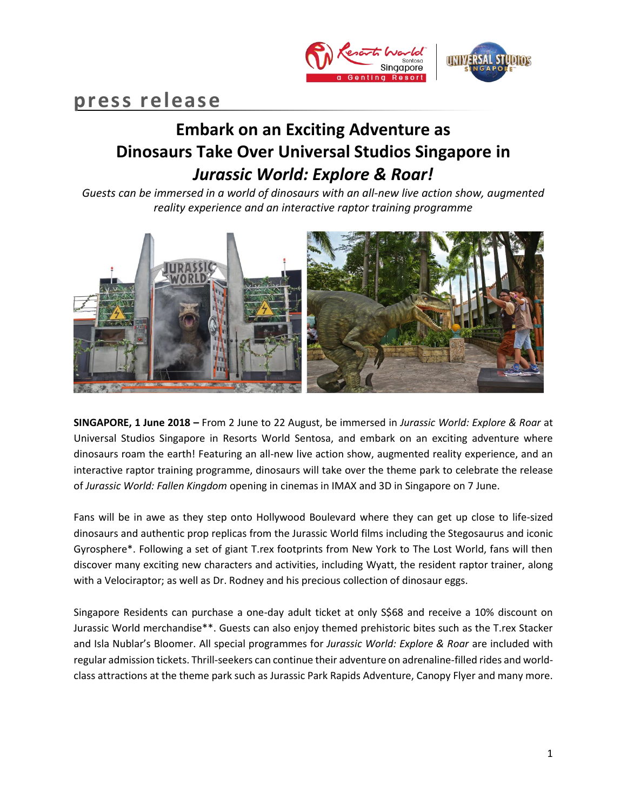

# **press release**

## **Embark on an Exciting Adventure as Dinosaurs Take Over Universal Studios Singapore in**  *Jurassic World: Explore & Roar!*

*Guests can be immersed in a world of dinosaurs with an all-new live action show, augmented reality experience and an interactive raptor training programme*



**SINGAPORE, 1 June 2018 –** From 2 June to 22 August, be immersed in *Jurassic World: Explore & Roar* at Universal Studios Singapore in Resorts World Sentosa, and embark on an exciting adventure where dinosaurs roam the earth! Featuring an all-new live action show, augmented reality experience, and an interactive raptor training programme, dinosaurs will take over the theme park to celebrate the release of *Jurassic World: Fallen Kingdom* opening in cinemas in IMAX and 3D in Singapore on 7 June.

Fans will be in awe as they step onto Hollywood Boulevard where they can get up close to life-sized dinosaurs and authentic prop replicas from the Jurassic World films including the Stegosaurus and iconic Gyrosphere\*. Following a set of giant T.rex footprints from New York to The Lost World, fans will then discover many exciting new characters and activities, including Wyatt, the resident raptor trainer, along with a Velociraptor; as well as Dr. Rodney and his precious collection of dinosaur eggs.

Singapore Residents can purchase a one-day adult ticket at only S\$68 and receive a 10% discount on Jurassic World merchandise\*\*. Guests can also enjoy themed prehistoric bites such as the T.rex Stacker and Isla Nublar's Bloomer. All special programmes for *Jurassic World: Explore & Roar* are included with regular admission tickets. Thrill-seekers can continue their adventure on adrenaline-filled rides and worldclass attractions at the theme park such as Jurassic Park Rapids Adventure, Canopy Flyer and many more.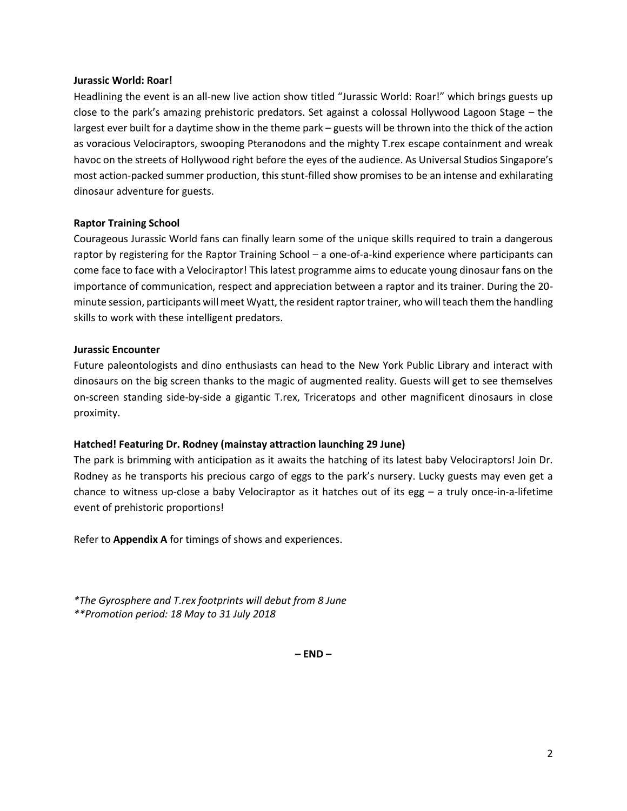### **Jurassic World: Roar!**

Headlining the event is an all-new live action show titled "Jurassic World: Roar!" which brings guests up close to the park's amazing prehistoric predators. Set against a colossal Hollywood Lagoon Stage – the largest ever built for a daytime show in the theme park – guests will be thrown into the thick of the action as voracious Velociraptors, swooping Pteranodons and the mighty T.rex escape containment and wreak havoc on the streets of Hollywood right before the eyes of the audience. As Universal Studios Singapore's most action-packed summer production, this stunt-filled show promises to be an intense and exhilarating dinosaur adventure for guests.

## **Raptor Training School**

Courageous Jurassic World fans can finally learn some of the unique skills required to train a dangerous raptor by registering for the Raptor Training School – a one-of-a-kind experience where participants can come face to face with a Velociraptor! This latest programme aims to educate young dinosaur fans on the importance of communication, respect and appreciation between a raptor and its trainer. During the 20 minute session, participants will meet Wyatt, the resident raptor trainer, who will teach them the handling skills to work with these intelligent predators.

## **Jurassic Encounter**

Future paleontologists and dino enthusiasts can head to the New York Public Library and interact with dinosaurs on the big screen thanks to the magic of augmented reality. Guests will get to see themselves on-screen standing side-by-side a gigantic T.rex, Triceratops and other magnificent dinosaurs in close proximity.

## **Hatched! Featuring Dr. Rodney (mainstay attraction launching 29 June)**

The park is brimming with anticipation as it awaits the hatching of its latest baby Velociraptors! Join Dr. Rodney as he transports his precious cargo of eggs to the park's nursery. Lucky guests may even get a chance to witness up-close a baby Velociraptor as it hatches out of its egg – a truly once-in-a-lifetime event of prehistoric proportions!

Refer to **Appendix A** for timings of shows and experiences.

*\*The Gyrosphere and T.rex footprints will debut from 8 June \*\*Promotion period: 18 May to 31 July 2018*

**– END –**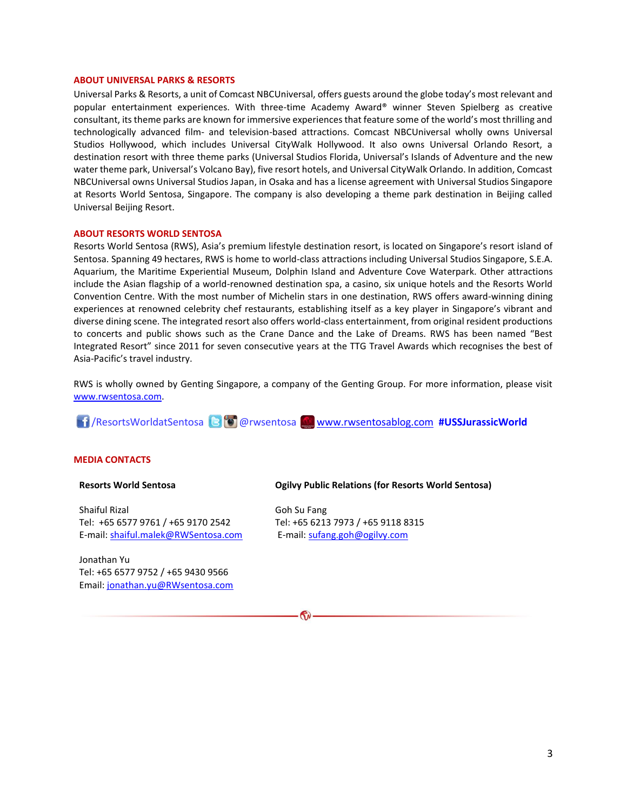#### **ABOUT UNIVERSAL PARKS & RESORTS**

Universal Parks & Resorts, a unit of Comcast NBCUniversal, offers guests around the globe today's most relevant and popular entertainment experiences. With three-time Academy Award® winner Steven Spielberg as creative consultant, its theme parks are known for immersive experiences that feature some of the world's most thrilling and technologically advanced film- and television-based attractions. Comcast NBCUniversal wholly owns Universal Studios Hollywood, which includes Universal CityWalk Hollywood. It also owns Universal Orlando Resort, a destination resort with three theme parks (Universal Studios Florida, Universal's Islands of Adventure and the new water theme park, Universal's Volcano Bay), five resort hotels, and Universal CityWalk Orlando. In addition, Comcast NBCUniversal owns Universal Studios Japan, in Osaka and has a license agreement with Universal Studios Singapore at Resorts World Sentosa, Singapore. The company is also developing a theme park destination in Beijing called Universal Beijing Resort.

#### **ABOUT RESORTS WORLD SENTOSA**

Resorts World Sentosa (RWS), Asia's premium lifestyle destination resort, is located on Singapore's resort island of Sentosa. Spanning 49 hectares, RWS is home to world-class attractions including Universal Studios Singapore, S.E.A. Aquarium, the Maritime Experiential Museum, Dolphin Island and Adventure Cove Waterpark. Other attractions include the Asian flagship of a world-renowned destination spa, a casino, six unique hotels and the Resorts World Convention Centre. With the most number of Michelin stars in one destination, RWS offers award-winning dining experiences at renowned celebrity chef restaurants, establishing itself as a key player in Singapore's vibrant and diverse dining scene. The integrated resort also offers world-class entertainment, from original resident productions to concerts and public shows such as the Crane Dance and the Lake of Dreams. RWS has been named "Best Integrated Resort" since 2011 for seven consecutive years at the TTG Travel Awards which recognises the best of Asia-Pacific's travel industry.

RWS is wholly owned by Genting Singapore, a company of the Genting Group. For more information, please visit [www.rwsentosa.com.](http://www.rwsentosa.com/)

/ResortsWorldatSentosa @rwsentosa [www.rwsentosablog.com](http://www.rwsentosablog.com/) **#USSJurassicWorld**

#### **MEDIA CONTACTS**

#### **Resorts World Sentosa**

Shaiful Rizal Tel: +65 6577 9761 / +65 9170 2542 E-mail[: shaiful.malek@RWSentosa.com](mailto:shaiful.malek@RWSentosa.com)

Jonathan Yu Tel: +65 6577 9752 / +65 9430 9566 Email[: jonathan.yu@RWsentosa.com](file:///C:/Users/loolin.chua/AppData/Local/Microsoft/Windows/Temporary%20Internet%20Files/Content.Outlook/KPF1T9X7/jonathan.yu@RWsentosa.com)

#### **Ogilvy Public Relations (for Resorts World Sentosa)**

Goh Su Fang Tel: +65 6213 7973 / +65 9118 8315 E-mail: [sufang.goh@ogilvy.com](mailto:sufang.goh@ogilvy.com)

 $\mathbf{G}$